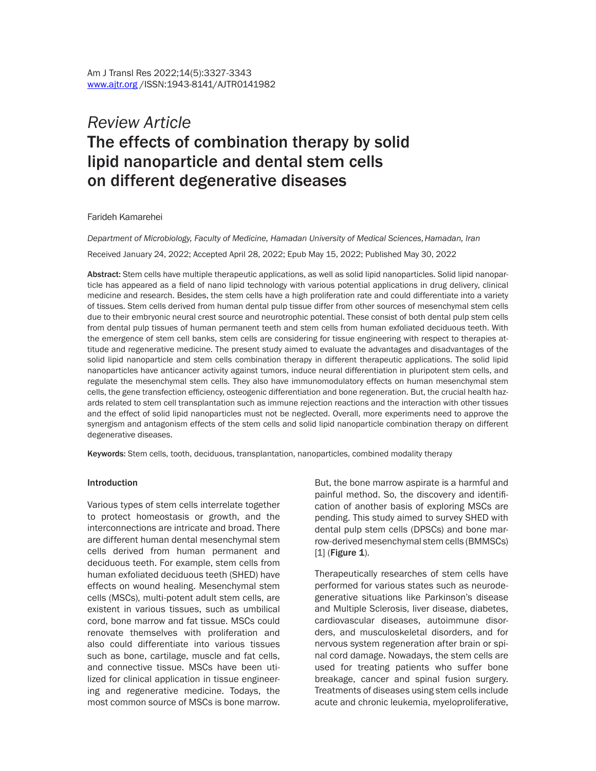# *Review Article*  The effects of combination therapy by solid lipid nanoparticle and dental stem cells on different degenerative diseases

#### Farideh Kamarehei

*Department of Microbiology, Faculty of Medicine, Hamadan University of Medical Sciences, Hamadan, Iran*

Received January 24, 2022; Accepted April 28, 2022; Epub May 15, 2022; Published May 30, 2022

Abstract: Stem cells have multiple therapeutic applications, as well as solid lipid nanoparticles. Solid lipid nanoparticle has appeared as a field of nano lipid technology with various potential applications in drug delivery, clinical medicine and research. Besides, the stem cells have a high proliferation rate and could differentiate into a variety of tissues. Stem cells derived from human dental pulp tissue differ from other sources of mesenchymal stem cells due to their embryonic neural crest source and neurotrophic potential. These consist of both dental pulp stem cells from dental pulp tissues of human permanent teeth and stem cells from human exfoliated deciduous teeth. With the emergence of stem cell banks, stem cells are considering for tissue engineering with respect to therapies attitude and regenerative medicine. The present study aimed to evaluate the advantages and disadvantages of the solid lipid nanoparticle and stem cells combination therapy in different therapeutic applications. The solid lipid nanoparticles have anticancer activity against tumors, induce neural differentiation in pluripotent stem cells, and regulate the mesenchymal stem cells. They also have immunomodulatory effects on human mesenchymal stem cells, the gene transfection efficiency, osteogenic differentiation and bone regeneration. But, the crucial health hazards related to stem cell transplantation such as immune rejection reactions and the interaction with other tissues and the effect of solid lipid nanoparticles must not be neglected. Overall, more experiments need to approve the synergism and antagonism effects of the stem cells and solid lipid nanoparticle combination therapy on different degenerative diseases.

Keywords: Stem cells, tooth, deciduous, transplantation, nanoparticles, combined modality therapy

#### Introduction

Various types of stem cells interrelate together to protect homeostasis or growth, and the interconnections are intricate and broad. There are different human dental mesenchymal stem cells derived from human permanent and deciduous teeth. For example, stem cells from human exfoliated deciduous teeth (SHED) have effects on wound healing. Mesenchymal stem cells (MSCs), multi-potent adult stem cells, are existent in various tissues, such as umbilical cord, bone marrow and fat tissue. MSCs could renovate themselves with proliferation and also could differentiate into various tissues such as bone, cartilage, muscle and fat cells, and connective tissue. MSCs have been utilized for clinical application in tissue engineering and regenerative medicine. Todays, the most common source of MSCs is bone marrow.

But, the bone marrow aspirate is a harmful and painful method. So, the discovery and identification of another basis of exploring MSCs are pending. This study aimed to survey SHED with dental pulp stem cells (DPSCs) and bone marrow-derived mesenchymal stem cells (BMMSCs)  $[1]$  (Figure 1).

Therapeutically researches of stem cells have performed for various states such as neurodegenerative situations like Parkinson's disease and Multiple Sclerosis, liver disease, diabetes, cardiovascular diseases, autoimmune disorders, and musculoskeletal disorders, and for nervous system regeneration after brain or spinal cord damage. Nowadays, the stem cells are used for treating patients who suffer bone breakage, cancer and spinal fusion surgery. Treatments of diseases using stem cells include acute and chronic leukemia, myeloproliferative,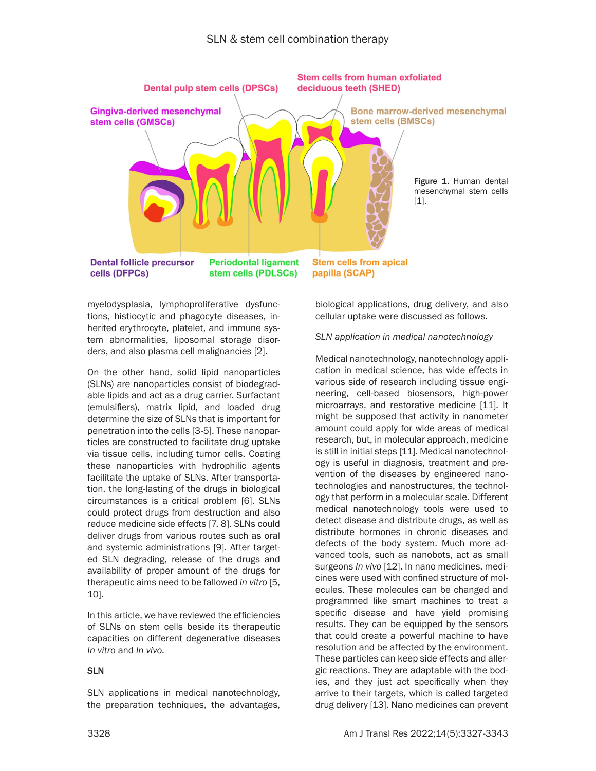

myelodysplasia, lymphoproliferative dysfunctions, histiocytic and phagocyte diseases, inherited erythrocyte, platelet, and immune system abnormalities, liposomal storage disorders, and also plasma cell malignancies [2].

On the other hand, solid lipid nanoparticles (SLNs) are nanoparticles consist of biodegradable lipids and act as a drug carrier. Surfactant (emulsifiers), matrix lipid, and loaded drug determine the size of SLNs that is important for penetration into the cells [3-5]. These nanoparticles are constructed to facilitate drug uptake via tissue cells, including tumor cells. Coating these nanoparticles with hydrophilic agents facilitate the uptake of SLNs. After transportation, the long-lasting of the drugs in biological circumstances is a critical problem [6]. SLNs could protect drugs from destruction and also reduce medicine side effects [7, 8]. SLNs could deliver drugs from various routes such as oral and systemic administrations [9]. After targeted SLN degrading, release of the drugs and availability of proper amount of the drugs for therapeutic aims need to be fallowed *in vitro* [5, 10].

In this article, we have reviewed the efficiencies of SLNs on stem cells beside its therapeutic capacities on different degenerative diseases *In vitro* and *In vivo*.

# SLN

SLN applications in medical nanotechnology, the preparation techniques, the advantages, biological applications, drug delivery, and also cellular uptake were discussed as follows.

#### *SLN application in medical nanotechnology*

Medical nanotechnology, nanotechnology application in medical science, has wide effects in various side of research including tissue engineering, cell-based biosensors, high-power microarrays, and restorative medicine [11]. It might be supposed that activity in nanometer amount could apply for wide areas of medical research, but, in molecular approach, medicine is still in initial steps [11]. Medical nanotechnology is useful in diagnosis, treatment and prevention of the diseases by engineered nanotechnologies and nanostructures, the technology that perform in a molecular scale. Different medical nanotechnology tools were used to detect disease and distribute drugs, as well as distribute hormones in chronic diseases and defects of the body system. Much more advanced tools, such as nanobots, act as small surgeons *In vivo* [12]. In nano medicines, medicines were used with confined structure of molecules. These molecules can be changed and programmed like smart machines to treat a specific disease and have yield promising results. They can be equipped by the sensors that could create a powerful machine to have resolution and be affected by the environment. These particles can keep side effects and allergic reactions. They are adaptable with the bodies, and they just act specifically when they arrive to their targets, which is called targeted drug delivery [13]. Nano medicines can prevent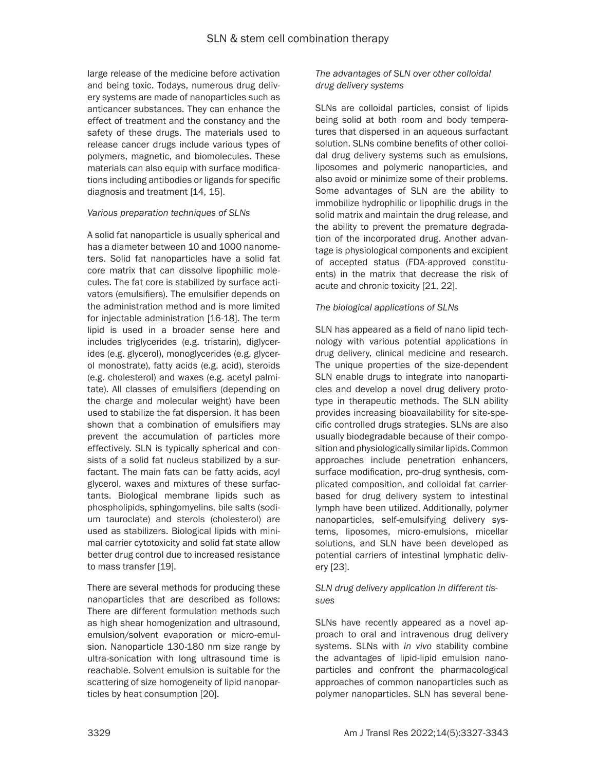large release of the medicine before activation and being toxic. Todays, numerous drug delivery systems are made of nanoparticles such as anticancer substances. They can enhance the effect of treatment and the constancy and the safety of these drugs. The materials used to release cancer drugs include various types of polymers, magnetic, and biomolecules. These materials can also equip with surface modifications including antibodies or ligands for specific diagnosis and treatment [14, 15].

#### *Various preparation techniques of SLNs*

A solid fat nanoparticle is usually spherical and has a diameter between 10 and 1000 nanometers. Solid fat nanoparticles have a solid fat core matrix that can dissolve lipophilic molecules. The fat core is stabilized by surface activators (emulsifiers). The emulsifier depends on the administration method and is more limited for injectable administration [16-18]. The term lipid is used in a broader sense here and includes triglycerides (e.g. tristarin), diglycerides (e.g. glycerol), monoglycerides (e.g. glycerol monostrate), fatty acids (e.g. acid), steroids (e.g. cholesterol) and waxes (e.g. acetyl palmitate). All classes of emulsifiers (depending on the charge and molecular weight) have been used to stabilize the fat dispersion. It has been shown that a combination of emulsifiers may prevent the accumulation of particles more effectively. SLN is typically spherical and consists of a solid fat nucleus stabilized by a surfactant. The main fats can be fatty acids, acyl glycerol, waxes and mixtures of these surfactants. Biological membrane lipids such as phospholipids, sphingomyelins, bile salts (sodium tauroclate) and sterols (cholesterol) are used as stabilizers. Biological lipids with minimal carrier cytotoxicity and solid fat state allow better drug control due to increased resistance to mass transfer [19].

There are several methods for producing these nanoparticles that are described as follows: There are different formulation methods such as high shear homogenization and ultrasound, emulsion/solvent evaporation or micro-emulsion. Nanoparticle 130-180 nm size range by ultra-sonication with long ultrasound time is reachable. Solvent emulsion is suitable for the scattering of size homogeneity of lipid nanoparticles by heat consumption [20].

## *The advantages of SLN over other colloidal drug delivery systems*

SLNs are colloidal particles, consist of lipids being solid at both room and body temperatures that dispersed in an aqueous surfactant solution. SLNs combine benefits of other colloidal drug delivery systems such as emulsions, liposomes and polymeric nanoparticles, and also avoid or minimize some of their problems. Some advantages of SLN are the ability to immobilize hydrophilic or lipophilic drugs in the solid matrix and maintain the drug release, and the ability to prevent the premature degradation of the incorporated drug. Another advantage is physiological components and excipient of accepted status (FDA-approved constituents) in the matrix that decrease the risk of acute and chronic toxicity [21, 22].

#### *The biological applications of SLNs*

SLN has appeared as a field of nano lipid technology with various potential applications in drug delivery, clinical medicine and research. The unique properties of the size-dependent SLN enable drugs to integrate into nanoparticles and develop a novel drug delivery prototype in therapeutic methods. The SLN ability provides increasing bioavailability for site-specific controlled drugs strategies. SLNs are also usually biodegradable because of their composition and physiologically similar lipids. Common approaches include penetration enhancers, surface modification, pro-drug synthesis, complicated composition, and colloidal fat carrierbased for drug delivery system to intestinal lymph have been utilized. Additionally, polymer nanoparticles, self-emulsifying delivery systems, liposomes, micro-emulsions, micellar solutions, and SLN have been developed as potential carriers of intestinal lymphatic delivery [23].

## *SLN drug delivery application in different tissues*

SLNs have recently appeared as a novel approach to oral and intravenous drug delivery systems. SLNs with *in vivo* stability combine the advantages of lipid-lipid emulsion nanoparticles and confront the pharmacological approaches of common nanoparticles such as polymer nanoparticles. SLN has several bene-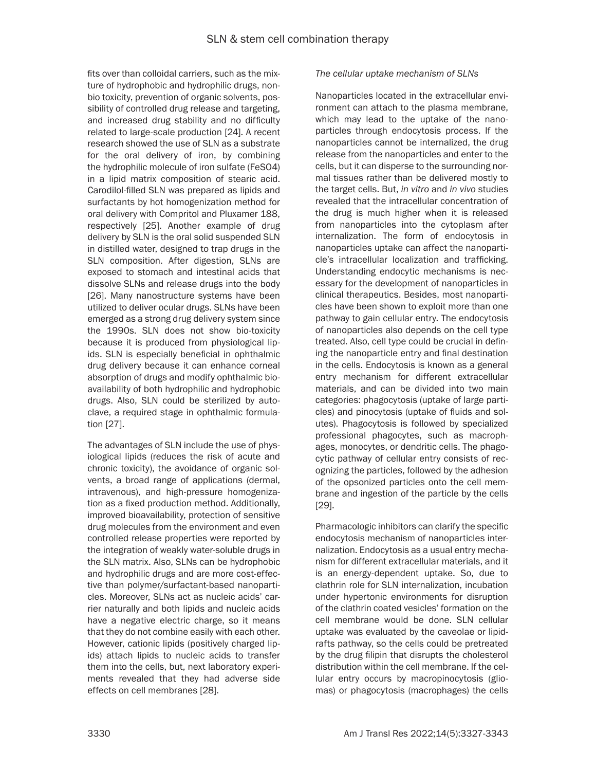fits over than colloidal carriers, such as the mixture of hydrophobic and hydrophilic drugs, nonbio toxicity, prevention of organic solvents, possibility of controlled drug release and targeting, and increased drug stability and no difficulty related to large-scale production [24]. A recent research showed the use of SLN as a substrate for the oral delivery of iron, by combining the hydrophilic molecule of iron sulfate (FeSO4) in a lipid matrix composition of stearic acid. Carodilol-filled SLN was prepared as lipids and surfactants by hot homogenization method for oral delivery with Compritol and Pluxamer 188, respectively [25]. Another example of drug delivery by SLN is the oral solid suspended SLN in distilled water, designed to trap drugs in the SLN composition. After digestion, SLNs are exposed to stomach and intestinal acids that dissolve SLNs and release drugs into the body [26]. Many nanostructure systems have been utilized to deliver ocular drugs. SLNs have been emerged as a strong drug delivery system since the 1990s. SLN does not show bio-toxicity because it is produced from physiological lipids. SLN is especially beneficial in ophthalmic drug delivery because it can enhance corneal absorption of drugs and modify ophthalmic bioavailability of both hydrophilic and hydrophobic drugs. Also, SLN could be sterilized by autoclave, a required stage in ophthalmic formulation [27].

The advantages of SLN include the use of physiological lipids (reduces the risk of acute and chronic toxicity), the avoidance of organic solvents, a broad range of applications (dermal, intravenous), and high-pressure homogenization as a fixed production method. Additionally, improved bioavailability, protection of sensitive drug molecules from the environment and even controlled release properties were reported by the integration of weakly water-soluble drugs in the SLN matrix. Also, SLNs can be hydrophobic and hydrophilic drugs and are more cost-effective than polymer/surfactant-based nanoparticles. Moreover, SLNs act as nucleic acids' carrier naturally and both lipids and nucleic acids have a negative electric charge, so it means that they do not combine easily with each other. However, cationic lipids (positively charged lipids) attach lipids to nucleic acids to transfer them into the cells, but, next laboratory experiments revealed that they had adverse side effects on cell membranes [28].

#### *The cellular uptake mechanism of SLNs*

Nanoparticles located in the extracellular environment can attach to the plasma membrane, which may lead to the uptake of the nanoparticles through endocytosis process. If the nanoparticles cannot be internalized, the drug release from the nanoparticles and enter to the cells, but it can disperse to the surrounding normal tissues rather than be delivered mostly to the target cells. But, *in vitro* and *in vivo* studies revealed that the intracellular concentration of the drug is much higher when it is released from nanoparticles into the cytoplasm after internalization. The form of endocytosis in nanoparticles uptake can affect the nanoparticle's intracellular localization and trafficking. Understanding endocytic mechanisms is necessary for the development of nanoparticles in clinical therapeutics. Besides, most nanoparticles have been shown to exploit more than one pathway to gain cellular entry. The endocytosis of nanoparticles also depends on the cell type treated. Also, cell type could be crucial in defining the nanoparticle entry and final destination in the cells. Endocytosis is known as a general entry mechanism for different extracellular materials, and can be divided into two main categories: phagocytosis (uptake of large particles) and pinocytosis (uptake of fluids and solutes). Phagocytosis is followed by specialized professional phagocytes, such as macrophages, monocytes, or dendritic cells. The phagocytic pathway of cellular entry consists of recognizing the particles, followed by the adhesion of the opsonized particles onto the cell membrane and ingestion of the particle by the cells [29].

Pharmacologic inhibitors can clarify the specific endocytosis mechanism of nanoparticles internalization. Endocytosis as a usual entry mechanism for different extracellular materials, and it is an energy-dependent uptake. So, due to clathrin role for SLN internalization, incubation under hypertonic environments for disruption of the clathrin coated vesicles' formation on the cell membrane would be done. SLN cellular uptake was evaluated by the caveolae or lipidrafts pathway, so the cells could be pretreated by the drug filipin that disrupts the cholesterol distribution within the cell membrane. If the cellular entry occurs by macropinocytosis (gliomas) or phagocytosis (macrophages) the cells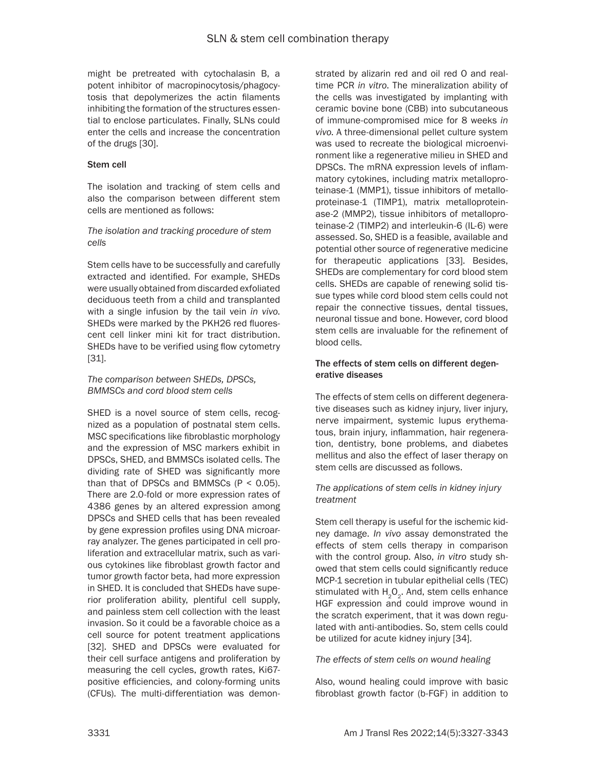might be pretreated with cytochalasin B, a potent inhibitor of macropinocytosis/phagocytosis that depolymerizes the actin filaments inhibiting the formation of the structures essential to enclose particulates. Finally, SLNs could enter the cells and increase the concentration of the drugs [30].

## Stem cell

The isolation and tracking of stem cells and also the comparison between different stem cells are mentioned as follows:

## *The isolation and tracking procedure of stem cells*

Stem cells have to be successfully and carefully extracted and identified. For example, SHEDs were usually obtained from discarded exfoliated deciduous teeth from a child and transplanted with a single infusion by the tail vein *in vivo*. SHEDs were marked by the PKH26 red fluorescent cell linker mini kit for tract distribution. SHEDs have to be verified using flow cytometry [31].

## *The comparison between SHEDs, DPSCs, BMMSCs and cord blood stem cells*

SHED is a novel source of stem cells, recognized as a population of postnatal stem cells. MSC specifications like fibroblastic morphology and the expression of MSC markers exhibit in DPSCs, SHED, and BMMSCs isolated cells. The dividing rate of SHED was significantly more than that of DPSCs and BMMSCs  $(P < 0.05)$ . There are 2.0-fold or more expression rates of 4386 genes by an altered expression among DPSCs and SHED cells that has been revealed by gene expression profiles using DNA microarray analyzer. The genes participated in cell proliferation and extracellular matrix, such as various cytokines like fibroblast growth factor and tumor growth factor beta, had more expression in SHED. It is concluded that SHEDs have superior proliferation ability, plentiful cell supply, and painless stem cell collection with the least invasion. So it could be a favorable choice as a cell source for potent treatment applications [32]. SHED and DPSCs were evaluated for their cell surface antigens and proliferation by measuring the cell cycles, growth rates, Ki67 positive efficiencies, and colony-forming units (CFUs). The multi-differentiation was demonstrated by alizarin red and oil red O and realtime PCR *in vitro*. The mineralization ability of the cells was investigated by implanting with ceramic bovine bone (CBB) into subcutaneous of immune-compromised mice for 8 weeks *in vivo*. A three-dimensional pellet culture system was used to recreate the biological microenvironment like a regenerative milieu in SHED and DPSCs. The mRNA expression levels of inflammatory cytokines, including matrix metalloproteinase-1 (MMP1), tissue inhibitors of metalloproteinase-1 (TIMP1), matrix metalloproteinase-2 (MMP2), tissue inhibitors of metalloproteinase-2 (TIMP2) and interleukin-6 (IL-6) were assessed. So, SHED is a feasible, available and potential other source of regenerative medicine for therapeutic applications [33]. Besides, SHEDs are complementary for cord blood stem cells. SHEDs are capable of renewing solid tissue types while cord blood stem cells could not repair the connective tissues, dental tissues, neuronal tissue and bone. However, cord blood stem cells are invaluable for the refinement of blood cells.

## The effects of stem cells on different degenerative diseases

The effects of stem cells on different degenerative diseases such as kidney injury, liver injury, nerve impairment, systemic lupus erythematous, brain injury, inflammation, hair regeneration, dentistry, bone problems, and diabetes mellitus and also the effect of laser therapy on stem cells are discussed as follows.

#### *The applications of stem cells in kidney injury treatment*

Stem cell therapy is useful for the ischemic kidney damage. *In vivo* assay demonstrated the effects of stem cells therapy in comparison with the control group. Also, *in vitro* study showed that stem cells could significantly reduce MCP-1 secretion in tubular epithelial cells (TEC) stimulated with  $H_2O_2$ . And, stem cells enhance HGF expression and could improve wound in the scratch experiment, that it was down regulated with anti-antibodies. So, stem cells could be utilized for acute kidney injury [34].

#### *The effects of stem cells on wound healing*

Also, wound healing could improve with basic fibroblast growth factor (b-FGF) in addition to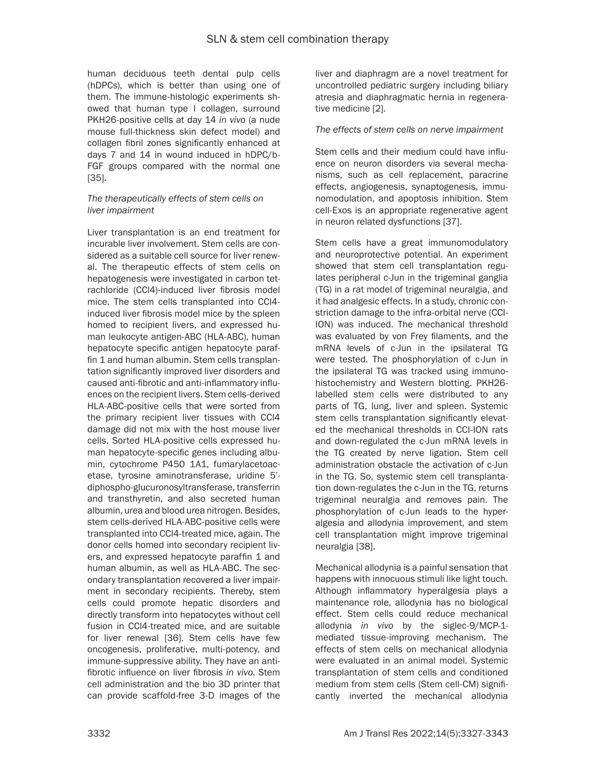human deciduous teeth dental pulp cells (hDPCs), which is better than using one of them. The immune-histologic experiments showed that human type I collagen, surround PKH26-positive cells at day 14 *in vivo* (a nude mouse full-thickness skin defect model) and collagen fibril zones significantly enhanced at days 7 and 14 in wound induced in hDPC/b-FGF groups compared with the normal one [35].

#### *The therapeutically effects of stem cells on liver impairment*

Liver transplantation is an end treatment for incurable liver involvement. Stem cells are considered as a suitable cell source for liver renewal. The therapeutic effects of stem cells on hepatogenesis were investigated in carbon tetrachloride (CCl4)-induced liver fibrosis model mice. The stem cells transplanted into CCl4 induced liver fibrosis model mice by the spleen homed to recipient livers, and expressed human leukocyte antigen-ABC (HLA-ABC), human hepatocyte specific antigen hepatocyte paraffin 1 and human albumin. Stem cells transplantation significantly improved liver disorders and caused anti-fibrotic and anti-inflammatory influences on the recipient livers. Stem cells-derived HLA-ABC-positive cells that were sorted from the primary recipient liver tissues with CCl4 damage did not mix with the host mouse liver cells. Sorted HLA-positive cells expressed human hepatocyte-specific genes including albumin, cytochrome P450 1A1, fumarylacetoacetase, tyrosine aminotransferase, uridine 5' diphospho-glucuronosyltransferase, transferrin and transthyretin, and also secreted human albumin, urea and blood urea nitrogen. Besides, stem cells-derived HLA-ABC-positive cells were transplanted into CCl4-treated mice, again. The donor cells homed into secondary recipient livers, and expressed hepatocyte paraffin 1 and human albumin, as well as HLA-ABC. The secondary transplantation recovered a liver impairment in secondary recipients. Thereby, stem cells could promote hepatic disorders and directly transform into hepatocytes without cell fusion in CCl4-treated mice, and are suitable for liver renewal [36]. Stem cells have few oncogenesis, proliferative, multi-potency, and immune-suppressive ability. They have an antifibrotic influence on liver fibrosis *in vivo*. Stem cell administration and the bio 3D printer that can provide scaffold-free 3-D images of the

liver and diaphragm are a novel treatment for uncontrolled pediatric surgery including biliary atresia and diaphragmatic hernia in regenerative medicine [2].

## *The effects of stem cells on nerve impairment*

Stem cells and their medium could have influence on neuron disorders via several mechanisms, such as cell replacement, paracrine effects, angiogenesis, synaptogenesis, immunomodulation, and apoptosis inhibition. Stem cell-Exos is an appropriate regenerative agent in neuron related dysfunctions [37].

Stem cells have a great immunomodulatory and neuroprotective potential. An experiment showed that stem cell transplantation regulates peripheral c-Jun in the trigeminal ganglia (TG) in a rat model of trigeminal neuralgia, and it had analgesic effects. In a study, chronic constriction damage to the infra-orbital nerve (CCI-ION) was induced. The mechanical threshold was evaluated by von Frey filaments, and the mRNA levels of c-Jun in the ipsilateral TG were tested. The phosphorylation of c-Jun in the ipsilateral TG was tracked using immunohistochemistry and Western blotting. PKH26 labelled stem cells were distributed to any parts of TG, lung, liver and spleen. Systemic stem cells transplantation significantly elevated the mechanical thresholds in CCI-ION rats and down-regulated the c-Jun mRNA levels in the TG created by nerve ligation. Stem cell administration obstacle the activation of c-Jun in the TG. So, systemic stem cell transplantation down-regulates the c-Jun in the TG, returns trigeminal neuralgia and removes pain. The phosphorylation of c-Jun leads to the hyperalgesia and allodynia improvement, and stem cell transplantation might improve trigeminal neuralgia [38].

Mechanical allodynia is a painful sensation that happens with innocuous stimuli like light touch. Although inflammatory hyperalgesia plays a maintenance role, allodynia has no biological effect. Stem cells could reduce mechanical allodynia *in vivo* by the siglec-9/MCP-1 mediated tissue-improving mechanism. The effects of stem cells on mechanical allodynia were evaluated in an animal model. Systemic transplantation of stem cells and conditioned medium from stem cells (Stem cell-CM) significantly inverted the mechanical allodynia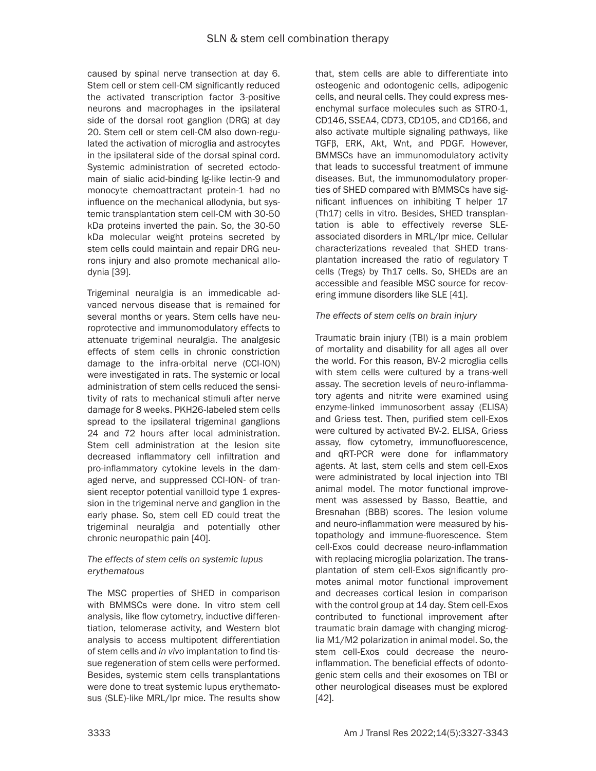caused by spinal nerve transection at day 6. Stem cell or stem cell-CM significantly reduced the activated transcription factor 3-positive neurons and macrophages in the ipsilateral side of the dorsal root ganglion (DRG) at day 20. Stem cell or stem cell-CM also down-regulated the activation of microglia and astrocytes in the ipsilateral side of the dorsal spinal cord. Systemic administration of secreted ectodomain of sialic acid-binding Ig-like lectin-9 and monocyte chemoattractant protein-1 had no influence on the mechanical allodynia, but systemic transplantation stem cell-CM with 30-50 kDa proteins inverted the pain. So, the 30-50 kDa molecular weight proteins secreted by stem cells could maintain and repair DRG neurons injury and also promote mechanical allodynia [39].

Trigeminal neuralgia is an immedicable advanced nervous disease that is remained for several months or years. Stem cells have neuroprotective and immunomodulatory effects to attenuate trigeminal neuralgia. The analgesic effects of stem cells in chronic constriction damage to the infra-orbital nerve (CCI-ION) were investigated in rats. The systemic or local administration of stem cells reduced the sensitivity of rats to mechanical stimuli after nerve damage for 8 weeks. PKH26-labeled stem cells spread to the ipsilateral trigeminal ganglions 24 and 72 hours after local administration. Stem cell administration at the lesion site decreased inflammatory cell infiltration and pro-inflammatory cytokine levels in the damaged nerve, and suppressed CCI-ION- of transient receptor potential vanilloid type 1 expression in the trigeminal nerve and ganglion in the early phase. So, stem cell ED could treat the trigeminal neuralgia and potentially other chronic neuropathic pain [40].

# *The effects of stem cells on systemic lupus erythematous*

The MSC properties of SHED in comparison with BMMSCs were done. In vitro stem cell analysis, like flow cytometry, inductive differentiation, telomerase activity, and Western blot analysis to access multipotent differentiation of stem cells and *in vivo* implantation to find tissue regeneration of stem cells were performed. Besides, systemic stem cells transplantations were done to treat systemic lupus erythematosus (SLE)-like MRL/lpr mice. The results show

that, stem cells are able to differentiate into osteogenic and odontogenic cells, adipogenic cells, and neural cells. They could express mesenchymal surface molecules such as STRO-1, CD146, SSEA4, CD73, CD105, and CD166, and also activate multiple signaling pathways, like TGFβ, ERK, Akt, Wnt, and PDGF. However, BMMSCs have an immunomodulatory activity that leads to successful treatment of immune diseases. But, the immunomodulatory properties of SHED compared with BMMSCs have significant influences on inhibiting T helper 17 (Th17) cells in vitro. Besides, SHED transplantation is able to effectively reverse SLEassociated disorders in MRL/lpr mice. Cellular characterizations revealed that SHED transplantation increased the ratio of regulatory T cells (Tregs) by Th17 cells. So, SHEDs are an accessible and feasible MSC source for recovering immune disorders like SLE [41].

# *The effects of stem cells on brain injury*

Traumatic brain injury (TBI) is a main problem of mortality and disability for all ages all over the world. For this reason, BV-2 microglia cells with stem cells were cultured by a trans-well assay. The secretion levels of neuro-inflammatory agents and nitrite were examined using enzyme-linked immunosorbent assay (ELISA) and Griess test. Then, purified stem cell-Exos were cultured by activated BV-2. ELISA, Griess assay, flow cytometry, immunofluorescence, and qRT-PCR were done for inflammatory agents. At last, stem cells and stem cell-Exos were administrated by local injection into TBI animal model. The motor functional improvement was assessed by Basso, Beattie, and Bresnahan (BBB) scores. The lesion volume and neuro-inflammation were measured by histopathology and immune-fluorescence. Stem cell-Exos could decrease neuro-inflammation with replacing microglia polarization. The transplantation of stem cell-Exos significantly promotes animal motor functional improvement and decreases cortical lesion in comparison with the control group at 14 day. Stem cell-Exos contributed to functional improvement after traumatic brain damage with changing microglia M1/M2 polarization in animal model. So, the stem cell-Exos could decrease the neuroinflammation. The beneficial effects of odontogenic stem cells and their exosomes on TBI or other neurological diseases must be explored [42].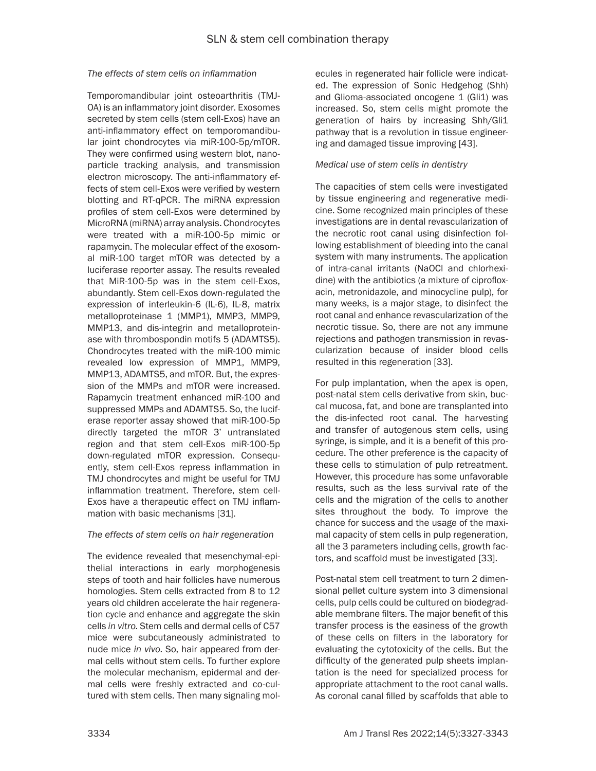#### *The effects of stem cells on inflammation*

Temporomandibular joint osteoarthritis (TMJ-OA) is an inflammatory joint disorder. Exosomes secreted by stem cells (stem cell-Exos) have an anti-inflammatory effect on temporomandibular joint chondrocytes via miR-100-5p/mTOR. They were confirmed using western blot, nanoparticle tracking analysis, and transmission electron microscopy. The anti-inflammatory effects of stem cell-Exos were verified by western blotting and RT-qPCR. The miRNA expression profiles of stem cell-Exos were determined by MicroRNA (miRNA) array analysis. Chondrocytes were treated with a miR-100-5p mimic or rapamycin. The molecular effect of the exosomal miR-100 target mTOR was detected by a luciferase reporter assay. The results revealed that MiR-100-5p was in the stem cell-Exos, abundantly. Stem cell-Exos down-regulated the expression of interleukin-6 (IL-6), IL-8, matrix metalloproteinase 1 (MMP1), MMP3, MMP9, MMP13, and dis-integrin and metalloproteinase with thrombospondin motifs 5 (ADAMTS5). Chondrocytes treated with the miR-100 mimic revealed low expression of MMP1, MMP9, MMP13, ADAMTS5, and mTOR. But, the expression of the MMPs and mTOR were increased. Rapamycin treatment enhanced miR-100 and suppressed MMPs and ADAMTS5. So, the luciferase reporter assay showed that miR-100-5p directly targeted the mTOR 3' untranslated region and that stem cell-Exos miR-100-5p down-regulated mTOR expression. Consequently, stem cell-Exos repress inflammation in TMJ chondrocytes and might be useful for TMJ inflammation treatment. Therefore, stem cell-Exos have a therapeutic effect on TMJ inflammation with basic mechanisms [31].

#### *The effects of stem cells on hair regeneration*

The evidence revealed that mesenchymal-epithelial interactions in early morphogenesis steps of tooth and hair follicles have numerous homologies. Stem cells extracted from 8 to 12 years old children accelerate the hair regeneration cycle and enhance and aggregate the skin cells *in vitro*. Stem cells and dermal cells of C57 mice were subcutaneously administrated to nude mice *in vivo*. So, hair appeared from dermal cells without stem cells. To further explore the molecular mechanism, epidermal and dermal cells were freshly extracted and co-cultured with stem cells. Then many signaling molecules in regenerated hair follicle were indicated. The expression of Sonic Hedgehog (Shh) and Glioma-associated oncogene 1 (Gli1) was increased. So, stem cells might promote the generation of hairs by increasing Shh/Gli1 pathway that is a revolution in tissue engineering and damaged tissue improving [43].

#### *Medical use of stem cells in dentistry*

The capacities of stem cells were investigated by tissue engineering and regenerative medicine. Some recognized main principles of these investigations are in dental revascularization of the necrotic root canal using disinfection following establishment of bleeding into the canal system with many instruments. The application of intra-canal irritants (NaOCl and chlorhexidine) with the antibiotics (a mixture of ciprofloxacin, metronidazole, and minocycline pulp), for many weeks, is a major stage, to disinfect the root canal and enhance revascularization of the necrotic tissue. So, there are not any immune rejections and pathogen transmission in revascularization because of insider blood cells resulted in this regeneration [33].

For pulp implantation, when the apex is open, post-natal stem cells derivative from skin, buccal mucosa, fat, and bone are transplanted into the dis-infected root canal. The harvesting and transfer of autogenous stem cells, using syringe, is simple, and it is a benefit of this procedure. The other preference is the capacity of these cells to stimulation of pulp retreatment. However, this procedure has some unfavorable results, such as the less survival rate of the cells and the migration of the cells to another sites throughout the body. To improve the chance for success and the usage of the maximal capacity of stem cells in pulp regeneration, all the 3 parameters including cells, growth factors, and scaffold must be investigated [33].

Post-natal stem cell treatment to turn 2 dimensional pellet culture system into 3 dimensional cells, pulp cells could be cultured on biodegradable membrane filters. The major benefit of this transfer process is the easiness of the growth of these cells on filters in the laboratory for evaluating the cytotoxicity of the cells. But the difficulty of the generated pulp sheets implantation is the need for specialized process for appropriate attachment to the root canal walls. As coronal canal filled by scaffolds that able to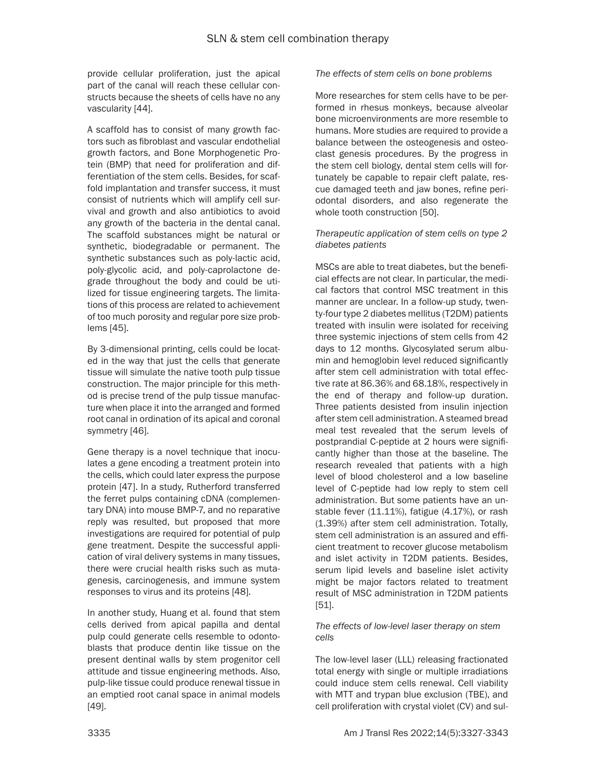provide cellular proliferation, just the apical part of the canal will reach these cellular constructs because the sheets of cells have no any vascularity [44].

A scaffold has to consist of many growth factors such as fibroblast and vascular endothelial growth factors, and Bone Morphogenetic Protein (BMP) that need for proliferation and differentiation of the stem cells. Besides, for scaffold implantation and transfer success, it must consist of nutrients which will amplify cell survival and growth and also antibiotics to avoid any growth of the bacteria in the dental canal. The scaffold substances might be natural or synthetic, biodegradable or permanent. The synthetic substances such as poly-lactic acid, poly-glycolic acid, and poly-caprolactone degrade throughout the body and could be utilized for tissue engineering targets. The limitations of this process are related to achievement of too much porosity and regular pore size problems [45].

By 3-dimensional printing, cells could be located in the way that just the cells that generate tissue will simulate the native tooth pulp tissue construction. The major principle for this method is precise trend of the pulp tissue manufacture when place it into the arranged and formed root canal in ordination of its apical and coronal symmetry [46].

Gene therapy is a novel technique that inoculates a gene encoding a treatment protein into the cells, which could later express the purpose protein [47]. In a study, Rutherford transferred the ferret pulps containing cDNA (complementary DNA) into mouse BMP-7, and no reparative reply was resulted, but proposed that more investigations are required for potential of pulp gene treatment. Despite the successful application of viral delivery systems in many tissues, there were crucial health risks such as mutagenesis, carcinogenesis, and immune system responses to virus and its proteins [48].

In another study, Huang et al. found that stem cells derived from apical papilla and dental pulp could generate cells resemble to odontoblasts that produce dentin like tissue on the present dentinal walls by stem progenitor cell attitude and tissue engineering methods. Also, pulp-like tissue could produce renewal tissue in an emptied root canal space in animal models [49].

## *The effects of stem cells on bone problems*

More researches for stem cells have to be performed in rhesus monkeys, because alveolar bone microenvironments are more resemble to humans. More studies are required to provide a balance between the osteogenesis and osteoclast genesis procedures. By the progress in the stem cell biology, dental stem cells will fortunately be capable to repair cleft palate, rescue damaged teeth and jaw bones, refine periodontal disorders, and also regenerate the whole tooth construction [50].

## *Therapeutic application of stem cells on type 2 diabetes patients*

MSCs are able to treat diabetes, but the beneficial effects are not clear. In particular, the medical factors that control MSC treatment in this manner are unclear. In a follow-up study, twenty-four type 2 diabetes mellitus (T2DM) patients treated with insulin were isolated for receiving three systemic injections of stem cells from 42 days to 12 months. Glycosylated serum albumin and hemoglobin level reduced significantly after stem cell administration with total effective rate at 86.36% and 68.18%, respectively in the end of therapy and follow-up duration. Three patients desisted from insulin injection after stem cell administration. A steamed bread meal test revealed that the serum levels of postprandial C-peptide at 2 hours were significantly higher than those at the baseline. The research revealed that patients with a high level of blood cholesterol and a low baseline level of C-peptide had low reply to stem cell administration. But some patients have an unstable fever (11.11%), fatigue (4.17%), or rash (1.39%) after stem cell administration. Totally, stem cell administration is an assured and efficient treatment to recover glucose metabolism and islet activity in T2DM patients. Besides, serum lipid levels and baseline islet activity might be major factors related to treatment result of MSC administration in T2DM patients [51].

#### *The effects of low-level laser therapy on stem cells*

The low-level laser (LLL) releasing fractionated total energy with single or multiple irradiations could induce stem cells renewal. Cell viability with MTT and trypan blue exclusion (TBE), and cell proliferation with crystal violet (CV) and sul-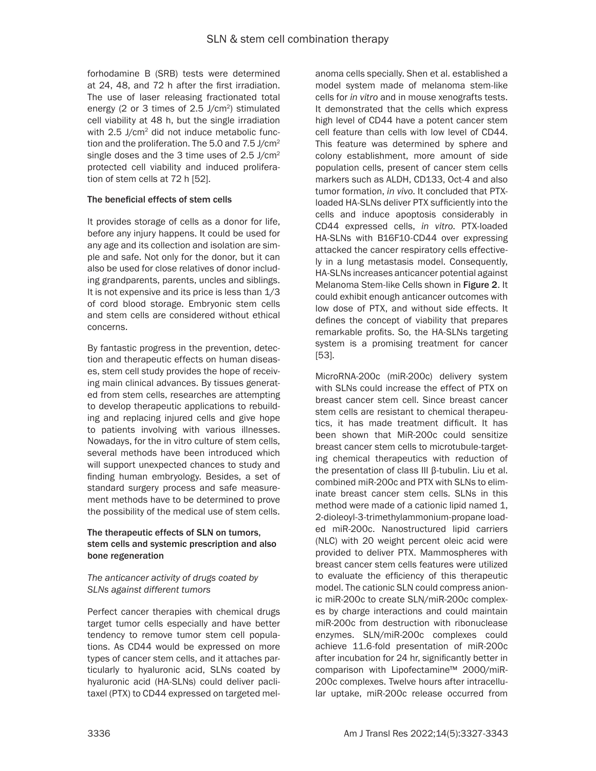forhodamine B (SRB) tests were determined at 24, 48, and 72 h after the first irradiation. The use of laser releasing fractionated total energy (2 or 3 times of 2.5 J/cm2) stimulated cell viability at 48 h, but the single irradiation with 2.5 J/cm<sup>2</sup> did not induce metabolic function and the proliferation. The 5.0 and  $7.5 \text{ J/cm}^2$ single doses and the 3 time uses of  $2.5$  J/cm<sup>2</sup> protected cell viability and induced proliferation of stem cells at 72 h [52].

# The beneficial effects of stem cells

It provides storage of cells as a donor for life, before any injury happens. It could be used for any age and its collection and isolation are simple and safe. Not only for the donor, but it can also be used for close relatives of donor including grandparents, parents, uncles and siblings. It is not expensive and its price is less than 1/3 of cord blood storage. Embryonic stem cells and stem cells are considered without ethical concerns.

By fantastic progress in the prevention, detection and therapeutic effects on human diseases, stem cell study provides the hope of receiving main clinical advances. By tissues generated from stem cells, researches are attempting to develop therapeutic applications to rebuilding and replacing injured cells and give hope to patients involving with various illnesses. Nowadays, for the in vitro culture of stem cells, several methods have been introduced which will support unexpected chances to study and finding human embryology. Besides, a set of standard surgery process and safe measurement methods have to be determined to prove the possibility of the medical use of stem cells.

## The therapeutic effects of SLN on tumors, stem cells and systemic prescription and also bone regeneration

## *The anticancer activity of drugs coated by SLNs against different tumors*

Perfect cancer therapies with chemical drugs target tumor cells especially and have better tendency to remove tumor stem cell populations. As CD44 would be expressed on more types of cancer stem cells, and it attaches particularly to hyaluronic acid, SLNs coated by hyaluronic acid (HA-SLNs) could deliver paclitaxel (PTX) to CD44 expressed on targeted melanoma cells specially. Shen et al. established a model system made of melanoma stem-like cells for *in vitro* and in mouse xenografts tests. It demonstrated that the cells which express high level of CD44 have a potent cancer stem cell feature than cells with low level of CD44. This feature was determined by sphere and colony establishment, more amount of side population cells, present of cancer stem cells markers such as ALDH, CD133, Oct-4 and also tumor formation, *in vivo*. It concluded that PTXloaded HA-SLNs deliver PTX sufficiently into the cells and induce apoptosis considerably in CD44 expressed cells, *in vitro*. PTX-loaded HA-SLNs with B16F10-CD44 over expressing attacked the cancer respiratory cells effectively in a lung metastasis model. Consequently, HA-SLNs increases anticancer potential against Melanoma Stem-like Cells shown in Figure 2. It could exhibit enough anticancer outcomes with low dose of PTX, and without side effects. It defines the concept of viability that prepares remarkable profits. So, the HA-SLNs targeting system is a promising treatment for cancer [53].

MicroRNA-200c (miR-200c) delivery system with SLNs could increase the effect of PTX on breast cancer stem cell. Since breast cancer stem cells are resistant to chemical therapeutics, it has made treatment difficult. It has been shown that MiR-200c could sensitize breast cancer stem cells to microtubule-targeting chemical therapeutics with reduction of the presentation of class III β-tubulin. Liu et al. combined miR-200c and PTX with SLNs to eliminate breast cancer stem cells. SLNs in this method were made of a cationic lipid named 1, 2-dioleoyl-3-trimethylammonium-propane loaded miR-200c. Nanostructured lipid carriers (NLC) with 20 weight percent oleic acid were provided to deliver PTX. Mammospheres with breast cancer stem cells features were utilized to evaluate the efficiency of this therapeutic model. The cationic SLN could compress anionic miR-200c to create SLN/miR-200c complexes by charge interactions and could maintain miR-200c from destruction with ribonuclease enzymes. SLN/miR-200c complexes could achieve 11.6-fold presentation of miR-200c after incubation for 24 hr, significantly better in comparison with Lipofectamine™ 2000/miR-200c complexes. Twelve hours after intracellular uptake, miR-200c release occurred from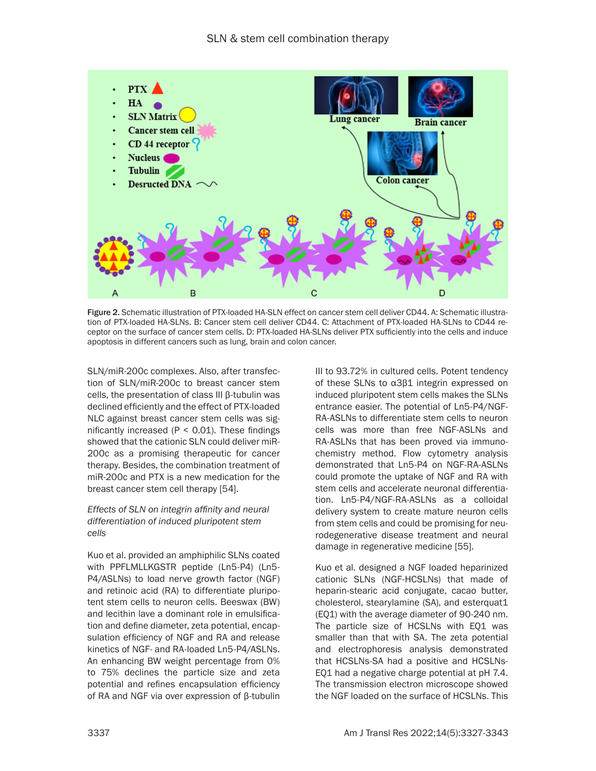

Figure 2. Schematic illustration of PTX-loaded HA-SLN effect on cancer stem cell deliver CD44. A: Schematic illustration of PTX-loaded HA-SLNs. B: Cancer stem cell deliver CD44. C: Attachment of PTX-loaded HA-SLNs to CD44 receptor on the surface of cancer stem cells. D: PTX-loaded HA-SLNs deliver PTX sufficiently into the cells and induce apoptosis in different cancers such as lung, brain and colon cancer.

SLN/miR-200c complexes. Also, after transfection of SLN/miR-200c to breast cancer stem cells, the presentation of class III β-tubulin was declined efficiently and the effect of PTX-loaded NLC against breast cancer stem cells was significantly increased ( $P < 0.01$ ). These findings showed that the cationic SLN could deliver miR-200c as a promising therapeutic for cancer therapy. Besides, the combination treatment of miR-200c and PTX is a new medication for the breast cancer stem cell therapy [54].

#### *Effects of SLN on integrin affinity and neural differentiation of induced pluripotent stem cells*

Kuo et al. provided an amphiphilic SLNs coated with PPFLMLLKGSTR peptide (Ln5-P4) (Ln5- P4/ASLNs) to load nerve growth factor (NGF) and retinoic acid (RA) to differentiate pluripotent stem cells to neuron cells. Beeswax (BW) and lecithin lave a dominant role in emulsification and define diameter, zeta potential, encapsulation efficiency of NGF and RA and release kinetics of NGF- and RA-loaded Ln5-P4/ASLNs. An enhancing BW weight percentage from 0% to 75% declines the particle size and zeta potential and refines encapsulation efficiency of RA and NGF via over expression of β-tubulin III to 93.72% in cultured cells. Potent tendency of these SLNs to α3β1 integrin expressed on induced pluripotent stem cells makes the SLNs entrance easier. The potential of Ln5-P4/NGF-RA-ASLNs to differentiate stem cells to neuron cells was more than free NGF-ASLNs and RA-ASLNs that has been proved via immunochemistry method. Flow cytometry analysis demonstrated that Ln5-P4 on NGF-RA-ASLNs could promote the uptake of NGF and RA with stem cells and accelerate neuronal differentiation. Ln5-P4/NGF-RA-ASLNs as a colloidal delivery system to create mature neuron cells from stem cells and could be promising for neurodegenerative disease treatment and neural damage in regenerative medicine [55].

Kuo et al. designed a NGF loaded heparinized cationic SLNs (NGF-HCSLNs) that made of heparin-stearic acid conjugate, cacao butter, cholesterol, stearylamine (SA), and esterquat1 (EQ1) with the average diameter of 90-240 nm. The particle size of HCSLNs with EQ1 was smaller than that with SA. The zeta potential and electrophoresis analysis demonstrated that HCSLNs-SA had a positive and HCSLNs-EQ1 had a negative charge potential at pH 7.4. The transmission electron microscope showed the NGF loaded on the surface of HCSLNs. This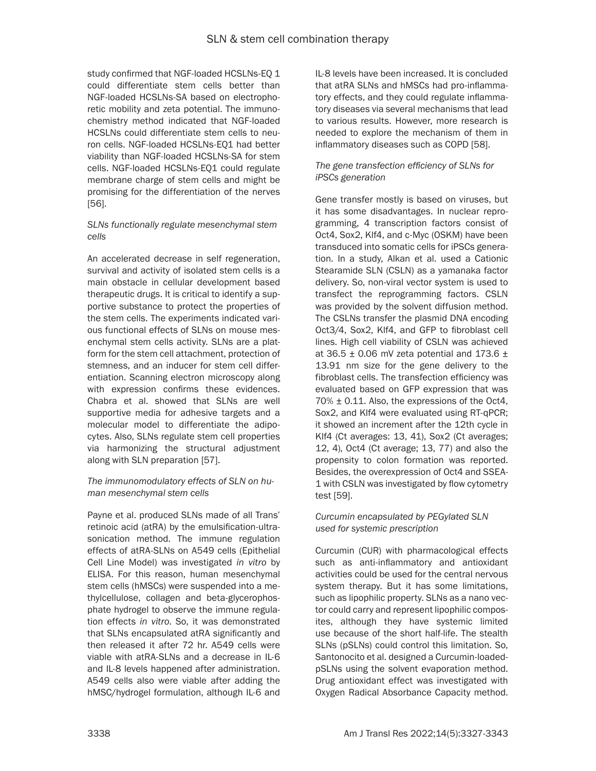study confirmed that NGF-loaded HCSLNs-EQ 1 could differentiate stem cells better than NGF-loaded HCSLNs-SA based on electrophoretic mobility and zeta potential. The immunochemistry method indicated that NGF-loaded HCSLNs could differentiate stem cells to neuron cells. NGF-loaded HCSLNs-EQ1 had better viability than NGF-loaded HCSLNs-SA for stem cells. NGF-loaded HCSLNs-EQ1 could regulate membrane charge of stem cells and might be promising for the differentiation of the nerves [56].

## *SLNs functionally regulate mesenchymal stem cells*

An accelerated decrease in self regeneration, survival and activity of isolated stem cells is a main obstacle in cellular development based therapeutic drugs. It is critical to identify a supportive substance to protect the properties of the stem cells. The experiments indicated various functional effects of SLNs on mouse mesenchymal stem cells activity. SLNs are a platform for the stem cell attachment, protection of stemness, and an inducer for stem cell differentiation. Scanning electron microscopy along with expression confirms these evidences. Chabra et al. showed that SLNs are well supportive media for adhesive targets and a molecular model to differentiate the adipocytes. Also, SLNs regulate stem cell properties via harmonizing the structural adjustment along with SLN preparation [57].

## *The immunomodulatory effects of SLN on human mesenchymal stem cells*

Payne et al. produced SLNs made of all Trans' retinoic acid (atRA) by the emulsification-ultrasonication method. The immune regulation effects of atRA-SLNs on A549 cells (Epithelial Cell Line Model) was investigated *in vitro* by ELISA. For this reason, human mesenchymal stem cells (hMSCs) were suspended into a methylcellulose, collagen and beta-glycerophosphate hydrogel to observe the immune regulation effects *in vitro*. So, it was demonstrated that SLNs encapsulated atRA significantly and then released it after 72 hr. A549 cells were viable with atRA-SLNs and a decrease in IL-6 and IL-8 levels happened after administration. A549 cells also were viable after adding the hMSC/hydrogel formulation, although IL-6 and

IL-8 levels have been increased. It is concluded that atRA SLNs and hMSCs had pro-inflammatory effects, and they could regulate inflammatory diseases via several mechanisms that lead to various results. However, more research is needed to explore the mechanism of them in inflammatory diseases such as COPD [58].

## *The gene transfection efficiency of SLNs for iPSCs generation*

Gene transfer mostly is based on viruses, but it has some disadvantages. In nuclear reprogramming, 4 transcription factors consist of Oct4, Sox2, Klf4, and c-Myc (OSKM) have been transduced into somatic cells for iPSCs generation. In a study, Alkan et al. used a Cationic Stearamide SLN (CSLN) as a yamanaka factor delivery. So, non-viral vector system is used to transfect the reprogramming factors. CSLN was provided by the solvent diffusion method. The CSLNs transfer the plasmid DNA encoding Oct3/4, Sox2, Klf4, and GFP to fibroblast cell lines. High cell viability of CSLN was achieved at 36.5  $\pm$  0.06 mV zeta potential and 173.6  $\pm$ 13.91 nm size for the gene delivery to the fibroblast cells. The transfection efficiency was evaluated based on GFP expression that was 70% ± 0.11. Also, the expressions of the Oct4, Sox2, and Klf4 were evaluated using RT-qPCR; it showed an increment after the 12th cycle in Klf4 (Ct averages: 13, 41), Sox2 (Ct averages; 12, 4), Oct4 (Ct average; 13, 77) and also the propensity to colon formation was reported. Besides, the overexpression of Oct4 and SSEA-1 with CSLN was investigated by flow cytometry test [59].

## *Curcumin encapsulated by PEGylated SLN used for systemic prescription*

Curcumin (CUR) with pharmacological effects such as anti-inflammatory and antioxidant activities could be used for the central nervous system therapy. But it has some limitations, such as lipophilic property. SLNs as a nano vector could carry and represent lipophilic composites, although they have systemic limited use because of the short half-life. The stealth SLNs (pSLNs) could control this limitation. So, Santonocito et al. designed a Curcumin-loadedpSLNs using the solvent evaporation method. Drug antioxidant effect was investigated with Oxygen Radical Absorbance Capacity method.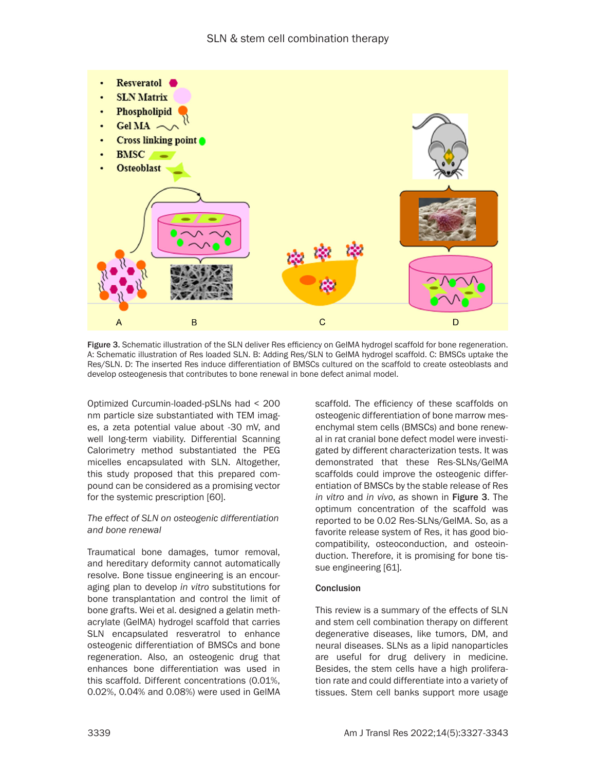

Figure 3. Schematic illustration of the SLN deliver Res efficiency on GeIMA hydrogel scaffold for bone regeneration. A: Schematic illustration of Res loaded SLN. B: Adding Res/SLN to GelMA hydrogel scaffold. C: BMSCs uptake the Res/SLN. D: The inserted Res induce differentiation of BMSCs cultured on the scaffold to create osteoblasts and develop osteogenesis that contributes to bone renewal in bone defect animal model.

Optimized Curcumin-loaded-pSLNs had < 200 nm particle size substantiated with TEM images, a zeta potential value about -30 mV, and well long-term viability. Differential Scanning Calorimetry method substantiated the PEG micelles encapsulated with SLN. Altogether, this study proposed that this prepared compound can be considered as a promising vector for the systemic prescription [60].

#### *The effect of SLN on osteogenic differentiation and bone renewal*

Traumatical bone damages, tumor removal, and hereditary deformity cannot automatically resolve. Bone tissue engineering is an encouraging plan to develop *in vitro* substitutions for bone transplantation and control the limit of bone grafts. Wei et al. designed a gelatin methacrylate (GelMA) hydrogel scaffold that carries SLN encapsulated resveratrol to enhance osteogenic differentiation of BMSCs and bone regeneration. Also, an osteogenic drug that enhances bone differentiation was used in this scaffold. Different concentrations (0.01%, 0.02%, 0.04% and 0.08%) were used in GelMA scaffold. The efficiency of these scaffolds on osteogenic differentiation of bone marrow mesenchymal stem cells (BMSCs) and bone renewal in rat cranial bone defect model were investigated by different characterization tests. It was demonstrated that these Res-SLNs/GelMA scaffolds could improve the osteogenic differentiation of BMSCs by the stable release of Res *in vitro* and *in vivo*, *as* shown in Figure 3. The optimum concentration of the scaffold was reported to be 0.02 Res-SLNs/GelMA. So, as a favorite release system of Res, it has good biocompatibility, osteoconduction, and osteoinduction. Therefore, it is promising for bone tissue engineering [61].

# **Conclusion**

This review is a summary of the effects of SLN and stem cell combination therapy on different degenerative diseases, like tumors, DM, and neural diseases. SLNs as a lipid nanoparticles are useful for drug delivery in medicine. Besides, the stem cells have a high proliferation rate and could differentiate into a variety of tissues. Stem cell banks support more usage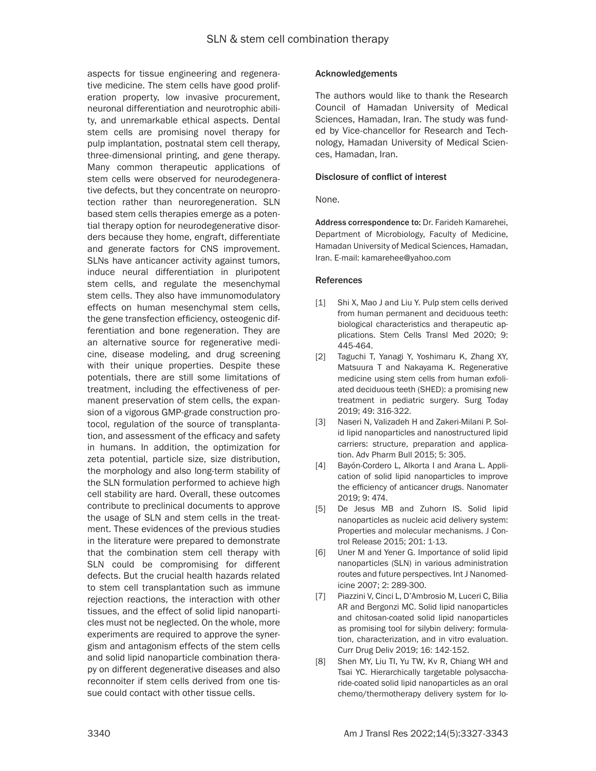aspects for tissue engineering and regenerative medicine. The stem cells have good proliferation property, low invasive procurement, neuronal differentiation and neurotrophic ability, and unremarkable ethical aspects. Dental stem cells are promising novel therapy for pulp implantation, postnatal stem cell therapy, three-dimensional printing, and gene therapy. Many common therapeutic applications of stem cells were observed for neurodegenerative defects, but they concentrate on neuroprotection rather than neuroregeneration. SLN based stem cells therapies emerge as a potential therapy option for neurodegenerative disorders because they home, engraft, differentiate and generate factors for CNS improvement. SLNs have anticancer activity against tumors, induce neural differentiation in pluripotent stem cells, and regulate the mesenchymal stem cells. They also have immunomodulatory effects on human mesenchymal stem cells, the gene transfection efficiency, osteogenic differentiation and bone regeneration. They are an alternative source for regenerative medicine, disease modeling, and drug screening with their unique properties. Despite these potentials, there are still some limitations of treatment, including the effectiveness of permanent preservation of stem cells, the expansion of a vigorous GMP-grade construction protocol, regulation of the source of transplantation, and assessment of the efficacy and safety in humans. In addition, the optimization for zeta potential, particle size, size distribution, the morphology and also long-term stability of the SLN formulation performed to achieve high cell stability are hard. Overall, these outcomes contribute to preclinical documents to approve the usage of SLN and stem cells in the treatment. These evidences of the previous studies in the literature were prepared to demonstrate that the combination stem cell therapy with SLN could be compromising for different defects. But the crucial health hazards related to stem cell transplantation such as immune rejection reactions, the interaction with other tissues, and the effect of solid lipid nanoparticles must not be neglected. On the whole, more experiments are required to approve the synergism and antagonism effects of the stem cells and solid lipid nanoparticle combination therapy on different degenerative diseases and also reconnoiter if stem cells derived from one tissue could contact with other tissue cells.

## Acknowledgements

The authors would like to thank the Research Council of Hamadan University of Medical Sciences, Hamadan, Iran. The study was funded by Vice-chancellor for Research and Technology, Hamadan University of Medical Sciences, Hamadan, Iran.

## Disclosure of conflict of interest

#### None.

Address correspondence to: Dr. Farideh Kamarehei, Department of Microbiology, Faculty of Medicine, Hamadan University of Medical Sciences, Hamadan, Iran. E-mail: kamarehee@yahoo.com

#### References

- [1] Shi X, Mao J and Liu Y. Pulp stem cells derived from human permanent and deciduous teeth: biological characteristics and therapeutic applications. Stem Cells Transl Med 2020; 9: 445-464.
- [2] Taguchi T, Yanagi Y, Yoshimaru K, Zhang XY, Matsuura T and Nakayama K. Regenerative medicine using stem cells from human exfoliated deciduous teeth (SHED): a promising new treatment in pediatric surgery. Surg Today 2019; 49: 316-322.
- [3] Naseri N, Valizadeh H and Zakeri-Milani P. Solid lipid nanoparticles and nanostructured lipid carriers: structure, preparation and application. Adv Pharm Bull 2015; 5: 305.
- [4] Bayón-Cordero L, Alkorta I and Arana L. Application of solid lipid nanoparticles to improve the efficiency of anticancer drugs. Nanomater 2019; 9: 474.
- [5] De Jesus MB and Zuhorn IS. Solid lipid nanoparticles as nucleic acid delivery system: Properties and molecular mechanisms. J Control Release 2015; 201: 1-13.
- [6] Uner M and Yener G. Importance of solid lipid nanoparticles (SLN) in various administration routes and future perspectives. Int J Nanomedicine 2007; 2: 289-300.
- [7] Piazzini V, Cinci L, D'Ambrosio M, Luceri C, Bilia AR and Bergonzi MC. Solid lipid nanoparticles and chitosan-coated solid lipid nanoparticles as promising tool for silybin delivery: formulation, characterization, and in vitro evaluation. Curr Drug Deliv 2019; 16: 142-152.
- [8] Shen MY, Liu TI, Yu TW, Kv R, Chiang WH and Tsai YC. Hierarchically targetable polysaccharide-coated solid lipid nanoparticles as an oral chemo/thermotherapy delivery system for lo-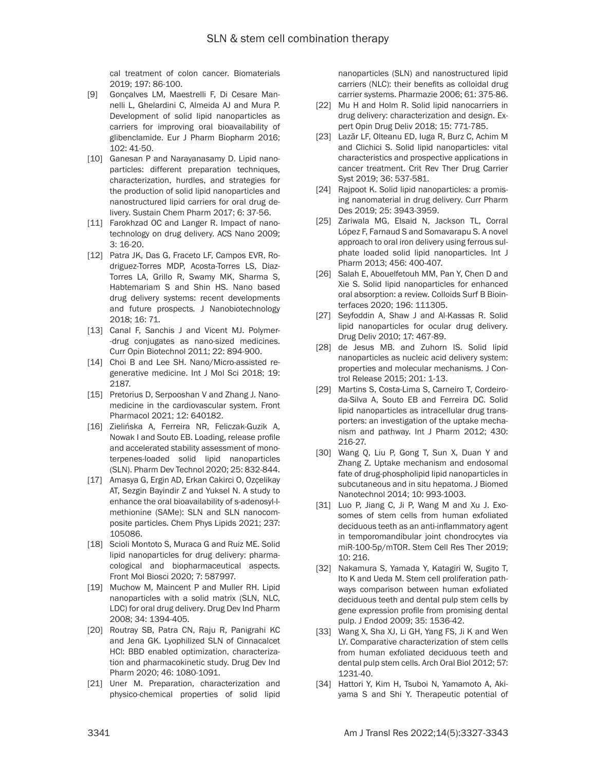cal treatment of colon cancer. Biomaterials 2019; 197: 86-100.

- [9] Gonçalves LM, Maestrelli F, Di Cesare Mannelli L, Ghelardini C, Almeida AJ and Mura P. Development of solid lipid nanoparticles as carriers for improving oral bioavailability of glibenclamide. Eur J Pharm Biopharm 2016; 102: 41-50.
- [10] Ganesan P and Narayanasamy D. Lipid nanoparticles: different preparation techniques, characterization, hurdles, and strategies for the production of solid lipid nanoparticles and nanostructured lipid carriers for oral drug delivery. Sustain Chem Pharm 2017; 6: 37-56.
- [11] Farokhzad OC and Langer R. Impact of nanotechnology on drug delivery. ACS Nano 2009; 3: 16-20.
- [12] Patra JK, Das G, Fraceto LF, Campos EVR, Rodriguez-Torres MDP, Acosta-Torres LS, Diaz-Torres LA, Grillo R, Swamy MK, Sharma S, Habtemariam S and Shin HS. Nano based drug delivery systems: recent developments and future prospects*.* J Nanobiotechnology 2018; 16: 71.
- [13] Canal F, Sanchis J and Vicent MJ. Polymer--drug conjugates as nano-sized medicines. Curr Opin Biotechnol 2011; 22: 894-900.
- [14] Choi B and Lee SH. Nano/Micro-assisted regenerative medicine. Int J Mol Sci 2018; 19: 2187.
- [15] Pretorius D, Serpooshan V and Zhang J. Nanomedicine in the cardiovascular system*.* Front Pharmacol 2021; 12: 640182.
- [16] Zielińska A, Ferreira NR, Feliczak-Guzik A, Nowak I and Souto EB. Loading, release profile and accelerated stability assessment of monoterpenes-loaded solid lipid nanoparticles (SLN). Pharm Dev Technol 2020; 25: 832-844.
- [17] Amasya G, Ergin AD, Erkan Cakirci O, Ozçelikay AT, Sezgin Bayindir Z and Yuksel N. A study to enhance the oral bioavailability of s-adenosyl-lmethionine (SAMe): SLN and SLN nanocomposite particles. Chem Phys Lipids 2021; 237: 105086.
- [18] Scioli Montoto S, Muraca G and Ruiz ME. Solid lipid nanoparticles for drug delivery: pharmacological and biopharmaceutical aspects. Front Mol Biosci 2020; 7: 587997.
- [19] Muchow M, Maincent P and Muller RH. Lipid nanoparticles with a solid matrix (SLN, NLC, LDC) for oral drug delivery. Drug Dev Ind Pharm 2008; 34: 1394-405.
- [20] Routray SB, Patra CN, Raju R, Panigrahi KC and Jena GK. Lyophilized SLN of Cinnacalcet HCl: BBD enabled optimization, characterization and pharmacokinetic study. Drug Dev Ind Pharm 2020; 46: 1080-1091.
- [21] Uner M. Preparation, characterization and physico-chemical properties of solid lipid

nanoparticles (SLN) and nanostructured lipid carriers (NLC): their benefits as colloidal drug carrier systems. Pharmazie 2006; 61: 375-86.

- [22] Mu H and Holm R. Solid lipid nanocarriers in drug delivery: characterization and design. Expert Opin Drug Deliv 2018; 15: 771-785.
- [23] Lazăr LF, Olteanu ED, Iuga R, Burz C, Achim M and Clichici S. Solid lipid nanoparticles: vital characteristics and prospective applications in cancer treatment. Crit Rev Ther Drug Carrier Syst 2019; 36: 537-581.
- [24] Rajpoot K. Solid lipid nanoparticles: a promising nanomaterial in drug delivery. Curr Pharm Des 2019; 25: 3943-3959.
- [25] Zariwala MG, Elsaid N, Jackson TL, Corral López F, Farnaud S and Somavarapu S. A novel approach to oral iron delivery using ferrous sulphate loaded solid lipid nanoparticles. Int J Pharm 2013; 456: 400-407.
- [26] Salah E, Abouelfetouh MM, Pan Y, Chen D and Xie S. Solid lipid nanoparticles for enhanced oral absorption: a review. Colloids Surf B Biointerfaces 2020; 196: 111305.
- [27] Seyfoddin A, Shaw J and Al-Kassas R. Solid lipid nanoparticles for ocular drug delivery*.* Drug Deliv 2010; 17: 467-89.
- [28] de Jesus MB. and Zuhorn IS. Solid lipid nanoparticles as nucleic acid delivery system: properties and molecular mechanisms. J Control Release 2015; 201: 1-13.
- [29] Martins S, Costa-Lima S, Carneiro T, Cordeiroda-Silva A, Souto EB and Ferreira DC. Solid lipid nanoparticles as intracellular drug transporters: an investigation of the uptake mechanism and pathway. Int J Pharm 2012; 430: 216-27.
- [30] Wang Q, Liu P, Gong T, Sun X, Duan Y and Zhang Z. Uptake mechanism and endosomal fate of drug-phospholipid lipid nanoparticles in subcutaneous and in situ hepatoma. J Biomed Nanotechnol 2014; 10: 993-1003.
- [31] Luo P, Jiang C, Ji P, Wang M and Xu J. Exosomes of stem cells from human exfoliated deciduous teeth as an anti-inflammatory agent in temporomandibular joint chondrocytes via miR-100-5p/mTOR. Stem Cell Res Ther 2019; 10: 216.
- [32] Nakamura S, Yamada Y, Katagiri W, Sugito T, Ito K and Ueda M. Stem cell proliferation pathways comparison between human exfoliated deciduous teeth and dental pulp stem cells by gene expression profile from promising dental pulp. J Endod 2009; 35: 1536-42.
- [33] Wang X, Sha XJ, Li GH, Yang FS, Ji K and Wen LY. Comparative characterization of stem cells from human exfoliated deciduous teeth and dental pulp stem cells. Arch Oral Biol 2012; 57: 1231-40.
- [34] Hattori Y, Kim H, Tsuboi N, Yamamoto A, Akiyama S and Shi Y. Therapeutic potential of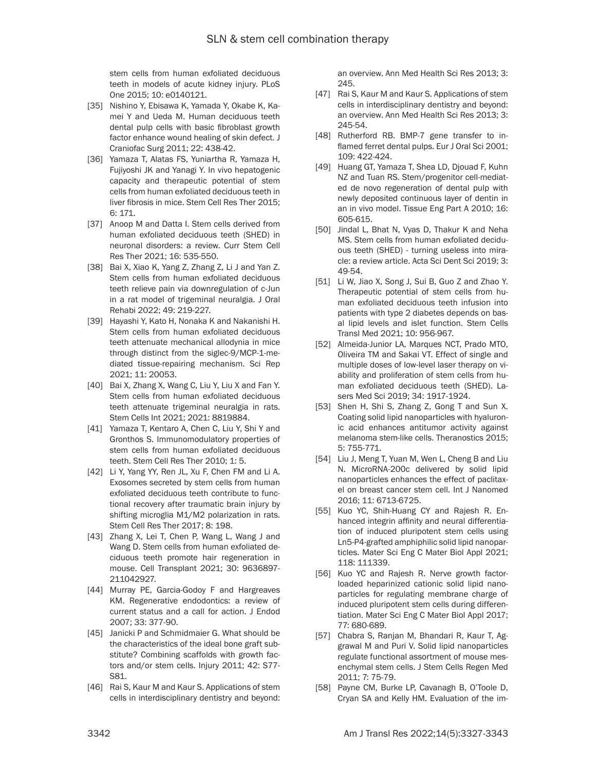stem cells from human exfoliated deciduous teeth in models of acute kidney injury. PLoS One 2015; 10: e0140121.

- [35] Nishino Y, Ebisawa K, Yamada Y, Okabe K, Kamei Y and Ueda M. Human deciduous teeth dental pulp cells with basic fibroblast growth factor enhance wound healing of skin defect. J Craniofac Surg 2011; 22: 438-42.
- [36] Yamaza T, Alatas FS, Yuniartha R, Yamaza H, Fujiyoshi JK and Yanagi Y. In vivo hepatogenic capacity and therapeutic potential of stem cells from human exfoliated deciduous teeth in liver fibrosis in mice. Stem Cell Res Ther 2015; 6: 171.
- [37] Anoop M and Datta I. Stem cells derived from human exfoliated deciduous teeth (SHED) in neuronal disorders: a review. Curr Stem Cell Res Ther 2021; 16: 535-550.
- [38] Bai X, Xiao K, Yang Z, Zhang Z, Li J and Yan Z. Stem cells from human exfoliated deciduous teeth relieve pain via downregulation of c-Jun in a rat model of trigeminal neuralgia. J Oral Rehabi 2022; 49: 219-227.
- [39] Hayashi Y, Kato H, Nonaka K and Nakanishi H. Stem cells from human exfoliated deciduous teeth attenuate mechanical allodynia in mice through distinct from the siglec-9/MCP-1-mediated tissue-repairing mechanism. Sci Rep 2021; 11: 20053.
- [40] Bai X, Zhang X, Wang C, Liu Y, Liu X and Fan Y. Stem cells from human exfoliated deciduous teeth attenuate trigeminal neuralgia in rats. Stem Cells Int 2021; 2021: 8819884.
- [41] Yamaza T, Kentaro A, Chen C, Liu Y, Shi Y and Gronthos S. Immunomodulatory properties of stem cells from human exfoliated deciduous teeth. Stem Cell Res Ther 2010; 1: 5.
- [42] Li Y, Yang YY, Ren JL, Xu F, Chen FM and Li A. Exosomes secreted by stem cells from human exfoliated deciduous teeth contribute to functional recovery after traumatic brain injury by shifting microglia M1/M2 polarization in rats. Stem Cell Res Ther 2017; 8: 198.
- [43] Zhang X, Lei T, Chen P, Wang L, Wang J and Wang D. Stem cells from human exfoliated deciduous teeth promote hair regeneration in mouse. Cell Transplant 2021; 30: 9636897- 211042927.
- [44] Murray PE, Garcia-Godoy F and Hargreaves KM. Regenerative endodontics: a review of current status and a call for action. J Endod 2007; 33: 377-90.
- [45] Janicki P and Schmidmaier G. What should be the characteristics of the ideal bone graft substitute? Combining scaffolds with growth factors and/or stem cells. Injury 2011; 42: S77- S81.
- [46] Rai S, Kaur M and Kaur S. Applications of stem cells in interdisciplinary dentistry and beyond:

an overview. Ann Med Health Sci Res 2013; 3: 245.

- [47] Rai S, Kaur M and Kaur S. Applications of stem cells in interdisciplinary dentistry and beyond: an overview. Ann Med Health Sci Res 2013; 3: 245-54.
- [48] Rutherford RB. BMP-7 gene transfer to inflamed ferret dental pulps. Eur J Oral Sci 2001; 109: 422-424.
- [49] Huang GT, Yamaza T, Shea LD, Djouad F, Kuhn NZ and Tuan RS. Stem/progenitor cell-mediated de novo regeneration of dental pulp with newly deposited continuous layer of dentin in an in vivo model. Tissue Eng Part A 2010; 16: 605-615.
- [50] Jindal L, Bhat N, Vyas D, Thakur K and Neha MS. Stem cells from human exfoliated deciduous teeth (SHED) - turning useless into miracle: a review article. Acta Sci Dent Sci 2019; 3: 49-54.
- [51] Li W, Jiao X, Song J, Sui B, Guo Z and Zhao Y. Therapeutic potential of stem cells from human exfoliated deciduous teeth infusion into patients with type 2 diabetes depends on basal lipid levels and islet function. Stem Cells Transl Med 2021; 10: 956-967.
- [52] Almeida-Junior LA, Marques NCT, Prado MTO, Oliveira TM and Sakai VT. Effect of single and multiple doses of low-level laser therapy on viability and proliferation of stem cells from human exfoliated deciduous teeth (SHED). Lasers Med Sci 2019; 34: 1917-1924.
- [53] Shen H, Shi S, Zhang Z, Gong T and Sun X. Coating solid lipid nanoparticles with hyaluronic acid enhances antitumor activity against melanoma stem-like cells. Theranostics 2015; 5: 755-771.
- [54] Liu J, Meng T, Yuan M, Wen L, Cheng B and Liu N. MicroRNA-200c delivered by solid lipid nanoparticles enhances the effect of paclitaxel on breast cancer stem cell. Int J Nanomed 2016; 11: 6713-6725.
- [55] Kuo YC, Shih-Huang CY and Rajesh R. Enhanced integrin affinity and neural differentiation of induced pluripotent stem cells using Ln5-P4-grafted amphiphilic solid lipid nanoparticles. Mater Sci Eng C Mater Biol Appl 2021; 118: 111339.
- [56] Kuo YC and Rajesh R. Nerve growth factorloaded heparinized cationic solid lipid nanoparticles for regulating membrane charge of induced pluripotent stem cells during differentiation. Mater Sci Eng C Mater Biol Appl 2017; 77: 680-689.
- [57] Chabra S, Ranjan M, Bhandari R, Kaur T, Aggrawal M and Puri V. Solid lipid nanoparticles regulate functional assortment of mouse mesenchymal stem cells. J Stem Cells Regen Med 2011; 7: 75-79.
- [58] Payne CM, Burke LP, Cavanagh B, O'Toole D, Cryan SA and Kelly HM. Evaluation of the im-